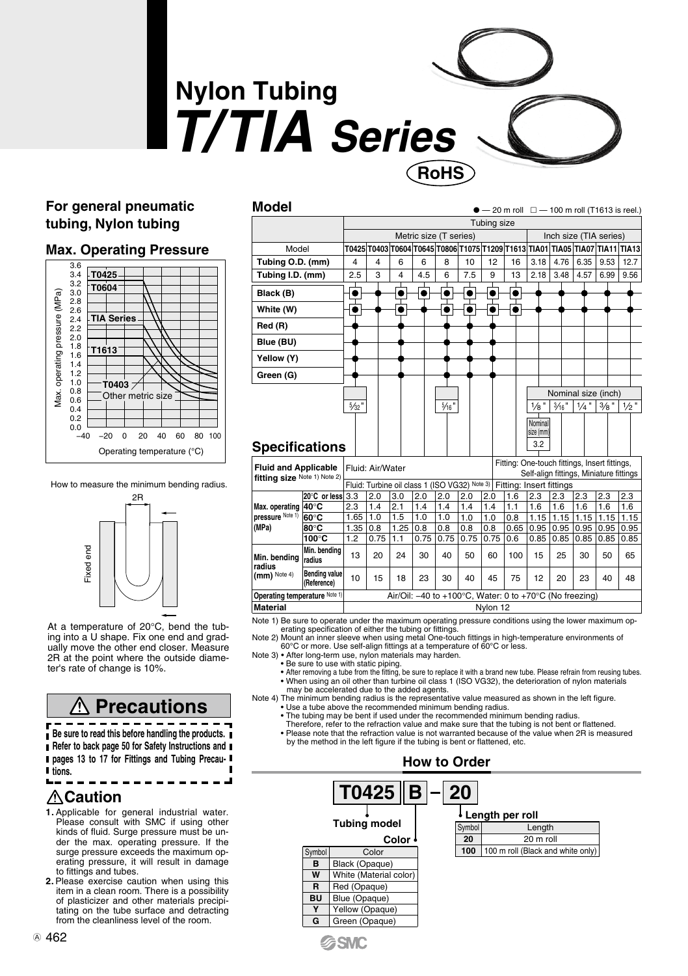# **Nylon Tubing**  *T/TIA Series* **RoHS**

**Model**

#### **For general pneumatic tubing, Nylon tubing**

#### **Max. Operating Pressure**







At a temperature of 20°C, bend the tubing into a U shape. Fix one end and gradually move the other end closer. Measure 2R at the point where the outside diame-ter's rate of change is 10%.

### **Precautions**

**Be sure to read this before handling the products. Refer to back page 50 for Safety Instructions and pages 13 to 17 for Fittings and Tubing Precautions.**

#### **Caution**

- **1.** Applicable for general industrial water. Please consult with SMC if using other kinds of fluid. Surge pressure must be under the max. operating pressure. If the surge pressure exceeds the maximum operating pressure, it will result in damage to fittings and tubes. From the clean the control of the control of the control of the cleaning the clean of the clean of the room. Moreover the clean of the room. The sure to read this before handling the production of the room. The sure to rea
- **2.** Please exercise caution when using this item in a clean room. There is a possibility of plasticizer and other materials precipitating on the tube surface and detracting<br>from the cleanliness level of the room.

| Model                                                       |                                                         |                                                                        |      |                         |                |      |          |             |               |                        |               |         | $-20$ m roll $\Box - 100$ m roll (T1613 is reel.)                             |      |
|-------------------------------------------------------------|---------------------------------------------------------|------------------------------------------------------------------------|------|-------------------------|----------------|------|----------|-------------|---------------|------------------------|---------------|---------|-------------------------------------------------------------------------------|------|
|                                                             |                                                         |                                                                        |      |                         |                |      |          | Tubing size |               |                        |               |         |                                                                               |      |
|                                                             |                                                         | Metric size (T series)                                                 |      |                         |                |      |          |             |               | Inch size (TIA series) |               |         |                                                                               |      |
| Model                                                       |                                                         |                                                                        |      |                         |                |      |          |             |               |                        |               |         | T0425 T0403 T0604 T0645 T0806 T1075 T1209 T1613 TIA01 TIA05 TIA07 TIA11 TIA13 |      |
| Tubing O.D. (mm)                                            |                                                         | 4                                                                      | 4    | 6                       | 6              | 8    | 10       | 12          | 16            | 3.18                   | 4.76          | 6.35    | 9.53                                                                          | 12.7 |
| Tubing I.D. (mm)                                            |                                                         | 2.5                                                                    | 3    | $\overline{\mathbf{4}}$ | 4.5            | 6    | 7.5      | 9           | 13            | 2.18                   | 3.48          | 4.57    | 6.99                                                                          | 9.56 |
|                                                             |                                                         |                                                                        |      |                         |                |      |          |             |               |                        |               |         |                                                                               |      |
| Black (B)                                                   |                                                         | ٠                                                                      |      |                         |                |      | ٠        | ٠           | $\bullet$     |                        |               |         |                                                                               |      |
| White (W)                                                   |                                                         | ٠                                                                      |      |                         |                |      |          |             | lo            |                        |               |         |                                                                               |      |
| Red (R)                                                     |                                                         |                                                                        |      |                         |                |      |          |             |               |                        |               |         |                                                                               |      |
| Blue (BU)                                                   |                                                         |                                                                        |      |                         |                |      |          |             |               |                        |               |         |                                                                               |      |
| Yellow (Y)                                                  |                                                         |                                                                        |      |                         |                |      |          |             |               |                        |               |         |                                                                               |      |
| Green (G)                                                   |                                                         |                                                                        |      |                         |                |      |          |             |               |                        |               |         |                                                                               |      |
|                                                             |                                                         |                                                                        |      |                         |                |      |          |             |               |                        |               |         |                                                                               |      |
|                                                             |                                                         | Nominal size (inch)                                                    |      |                         |                |      |          |             |               |                        |               |         |                                                                               |      |
|                                                             | $5/32$ "                                                |                                                                        |      |                         | $\frac{5}{16}$ |      |          |             | $\frac{1}{8}$ | $\frac{3}{16}$ "       | $\frac{1}{4}$ | $3/8$ " | $1/2$ "                                                                       |      |
|                                                             |                                                         |                                                                        |      |                         |                |      |          |             | Nominal       |                        |               |         |                                                                               |      |
|                                                             |                                                         |                                                                        |      |                         |                |      |          |             |               | size (mm)              |               |         |                                                                               |      |
| <b>Specifications</b>                                       |                                                         |                                                                        |      |                         |                |      |          |             | 3.2           |                        |               |         |                                                                               |      |
| <b>Fluid and Applicable</b><br>fitting size Note 1) Note 2) |                                                         | Fitting: One-touch fittings, Insert fittings,                          |      |                         |                |      |          |             |               |                        |               |         |                                                                               |      |
|                                                             |                                                         | Fluid: Air/Water<br>Self-align fittings, Miniature fittings            |      |                         |                |      |          |             |               |                        |               |         |                                                                               |      |
|                                                             |                                                         | Fluid: Turbine oil class 1 (ISO VG32) Note 3) Fitting: Insert fittings |      |                         |                |      |          |             |               |                        |               |         |                                                                               |      |
|                                                             | 20°C or less 3.3                                        |                                                                        | 2.0  | 3.0                     | 2.0            | 2.0  | 2.0      | 2.0         | 1.6           | 2.3                    | 2.3           | 2.3     | 2.3                                                                           | 2.3  |
| Max. operating                                              | $40^\circ C$                                            | 2.3                                                                    | 1.4  | 2.1                     | 1.4            | 1.4  | 1.4      | 1.4         | 1.1           | 1.6                    | 1.6           | 1.6     | 1.6                                                                           | 1.6  |
| pressure Note 1)                                            | 60°C                                                    | 1.65                                                                   | 11.0 | 1.5                     | 1.0            | 1.0  | 1.0      | 1.0         | 0.8           | 1.15                   | 1.15          | 1.15    | 1.15                                                                          | 1.15 |
| (MPa)                                                       | 80°C                                                    | 1.35                                                                   | 0.8  | 1.25                    | 0.8            | 0.8  | 0.8      | 0.8         | 0.65          | 0.95                   | 0.95          | 0.95    | 0.95                                                                          | 0.95 |
|                                                             | 100°C                                                   | 1.2                                                                    | 0.75 | 1.1                     | 0.75           | 0.75 | 0.75     | 0.75        | 0.6           | 0.85                   | 0.85          | 0.85    | 0.85                                                                          | 0.85 |
| Min. bendina<br>radius<br>$(mm)$ Note 4)                    | Min. bendina<br>radius                                  | 13                                                                     | 20   | 24                      | 30             | 40   | 50       | 60          | 100           | 15                     | 25            | 30      | 50                                                                            | 65   |
|                                                             | <b>Bending value</b><br>(Reference)                     | 10                                                                     | 15   | 18                      | 23             | 30   | 40       | 45          | 75            | 12                     | 20            | 23      | 40                                                                            | 48   |
| Operating temperature Note 1)                               | Air/Oil: -40 to +100°C, Water: 0 to +70°C (No freezing) |                                                                        |      |                         |                |      |          |             |               |                        |               |         |                                                                               |      |
| <b>Material</b>                                             |                                                         |                                                                        |      |                         |                |      | Nylon 12 |             |               |                        |               |         |                                                                               |      |
|                                                             |                                                         |                                                                        |      |                         |                |      |          |             |               |                        |               |         |                                                                               |      |

Note 1) Be sure to operate under the maximum operating pressure conditions using the lower maximum op-<br>erating specification of either the tubing or fittings.<br>Note 2) Mount an inner sleeve when using metal One-touch fittin

60°C or more. Use self-align fittings at a temperature of 60°C or less. Note 3) • After long-term use, nylon materials may harden.

• Be sure to use with static piping.

**G**SMC

• After removing a tube from the fitting, be sure to replace it with a brand new tube. Please refrain from reusing tubes. • When using an oil other than turbine oil class 1 (ISO VG32), the deterioration of nylon materials may be accelerated due to the added agents.

Note 4) The minimum bending radius is the representative value measured as shown in the left figure. • Use a tube above the recommended minimum bending radius.

- The tubing may be bent if used under the recommended minimum bending radius.
- Therefore, refer to the refraction value and make sure that the tubing is not bent or flattened.
- Please note that the refraction value is not warranted because of the value when 2R is measured by the method in the left figure if the tubing is bent or flattened, etc.

|           |                        | <b>How to Order</b> |        |                                   |
|-----------|------------------------|---------------------|--------|-----------------------------------|
|           | $T0425  B -20$         |                     |        | Length per roll                   |
|           | Tubing model           |                     | Symbol | Length                            |
|           | Color +                |                     | 20     | 20 m roll                         |
| Symbol    | Color                  |                     | 100    | 100 m roll (Black and white only) |
| в         | Black (Opaque)         |                     |        |                                   |
| W         | White (Material color) |                     |        |                                   |
| R         | Red (Opaque)           |                     |        |                                   |
| <b>BU</b> | Blue (Opaque)          |                     |        |                                   |
| ٧         | Yellow (Opaque)        |                     |        |                                   |
| G         | Green (Opaque)         |                     |        |                                   |